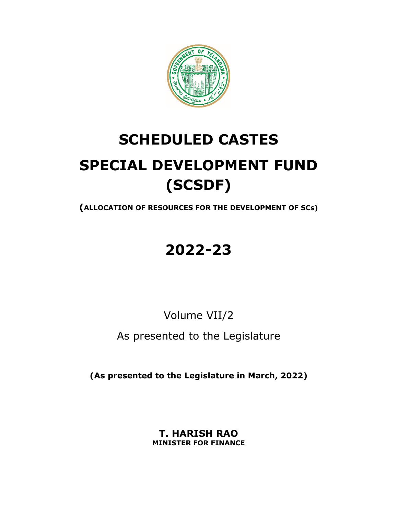

# **SCHEDULED CASTES SPECIAL DEVELOPMENT FUND (SCSDF)**

**(ALLOCATION OF RESOURCES FOR THE DEVELOPMENT OF SCs)**

## **2022-23**

Volume VII/2

As presented to the Legislature

**(As presented to the Legislature in March, 2022)** 

**T. HARISH RAO MINISTER FOR FINANCE**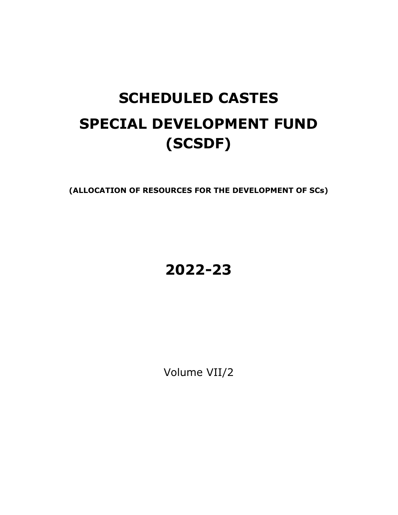# **SCHEDULED CASTES SPECIAL DEVELOPMENT FUND (SCSDF)**

**(ALLOCATION OF RESOURCES FOR THE DEVELOPMENT OF SCs)** 

## **2022-23**

Volume VII/2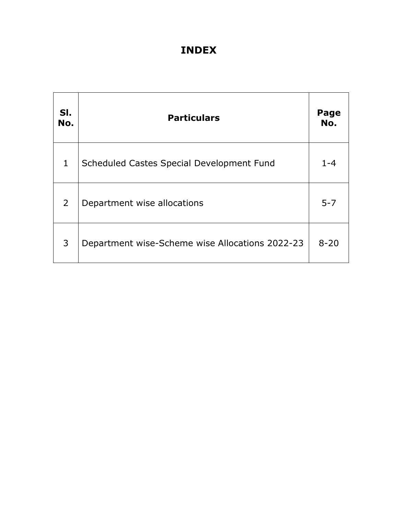### **INDEX**

| SI.<br>No.     | <b>Particulars</b>                              | Page<br>No. |
|----------------|-------------------------------------------------|-------------|
| $\mathbf{1}$   | Scheduled Castes Special Development Fund       | $1 - 4$     |
| $\overline{2}$ | Department wise allocations                     | $5 - 7$     |
| 3              | Department wise-Scheme wise Allocations 2022-23 | $8 - 20$    |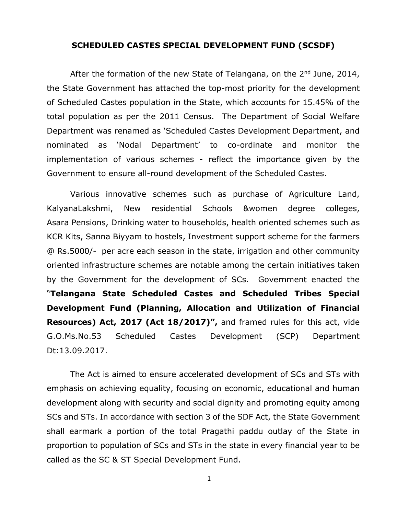#### **SCHEDULED CASTES SPECIAL DEVELOPMENT FUND (SCSDF)**

After the formation of the new State of Telangana, on the  $2<sup>nd</sup>$  June, 2014, the State Government has attached the top-most priority for the development of Scheduled Castes population in the State, which accounts for 15.45% of the total population as per the 2011 Census. The Department of Social Welfare Department was renamed as 'Scheduled Castes Development Department, and nominated as 'Nodal Department' to co-ordinate and monitor the implementation of various schemes - reflect the importance given by the Government to ensure all-round development of the Scheduled Castes.

Various innovative schemes such as purchase of Agriculture Land, KalyanaLakshmi, New residential Schools &women degree colleges, Asara Pensions, Drinking water to households, health oriented schemes such as KCR Kits, Sanna Biyyam to hostels, Investment support scheme for the farmers @ Rs.5000/- per acre each season in the state, irrigation and other community oriented infrastructure schemes are notable among the certain initiatives taken by the Government for the development of SCs. Government enacted the "**Telangana State Scheduled Castes and Scheduled Tribes Special Development Fund (Planning, Allocation and Utilization of Financial Resources) Act, 2017 (Act 18/2017)",** and framed rules for this act, vide G.O.Ms.No.53 Scheduled Castes Development (SCP) Department Dt:13.09.2017.

The Act is aimed to ensure accelerated development of SCs and STs with emphasis on achieving equality, focusing on economic, educational and human development along with security and social dignity and promoting equity among SCs and STs. In accordance with section 3 of the SDF Act, the State Government shall earmark a portion of the total Pragathi paddu outlay of the State in proportion to population of SCs and STs in the state in every financial year to be called as the SC & ST Special Development Fund.

1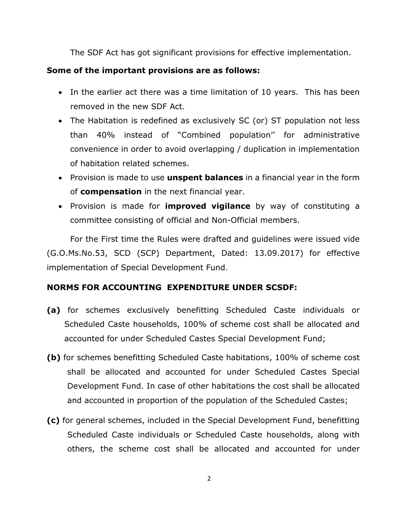The SDF Act has got significant provisions for effective implementation.

#### **Some of the important provisions are as follows:**

- In the earlier act there was a time limitation of 10 years. This has been removed in the new SDF Act.
- The Habitation is redefined as exclusively SC (or) ST population not less than 40% instead of "Combined population'' for administrative convenience in order to avoid overlapping / duplication in implementation of habitation related schemes.
- Provision is made to use **unspent balances** in a financial year in the form of **compensation** in the next financial year.
- Provision is made for **improved vigilance** by way of constituting a committee consisting of official and Non-Official members.

For the First time the Rules were drafted and guidelines were issued vide (G.O.Ms.No.53, SCD (SCP) Department, Dated: 13.09.2017) for effective implementation of Special Development Fund.

#### **NORMS FOR ACCOUNTING EXPENDITURE UNDER SCSDF:**

- **(a)** for schemes exclusively benefitting Scheduled Caste individuals or Scheduled Caste households, 100% of scheme cost shall be allocated and accounted for under Scheduled Castes Special Development Fund;
- **(b)** for schemes benefitting Scheduled Caste habitations, 100% of scheme cost shall be allocated and accounted for under Scheduled Castes Special Development Fund. In case of other habitations the cost shall be allocated and accounted in proportion of the population of the Scheduled Castes;
- **(c)** for general schemes, included in the Special Development Fund, benefitting Scheduled Caste individuals or Scheduled Caste households, along with others, the scheme cost shall be allocated and accounted for under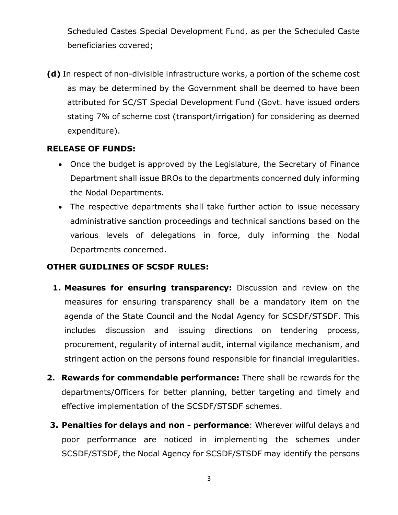Scheduled Castes Special Development Fund, as per the Scheduled Caste beneficiaries covered;

**(d)** In respect of non-divisible infrastructure works, a portion of the scheme cost as may be determined by the Government shall be deemed to have been attributed for SC/ST Special Development Fund (Govt. have issued orders stating 7% of scheme cost (transport/irrigation) for considering as deemed expenditure).

#### **RELEASE OF FUNDS:**

- Once the budget is approved by the Legislature, the Secretary of Finance Department shall issue BROs to the departments concerned duly informing the Nodal Departments.
- The respective departments shall take further action to issue necessary administrative sanction proceedings and technical sanctions based on the various levels of delegations in force, duly informing the Nodal Departments concerned.

#### **OTHER GUIDLINES OF SCSDF RULES:**

- **1. Measures for ensuring transparency:** Discussion and review on the measures for ensuring transparency shall be a mandatory item on the agenda of the State Council and the Nodal Agency for SCSDF/STSDF. This includes discussion and issuing directions on tendering process, procurement, regularity of internal audit, internal vigilance mechanism, and stringent action on the persons found responsible for financial irregularities.
- **2. Rewards for commendable performance:** There shall be rewards for the departments/Officers for better planning, better targeting and timely and effective implementation of the SCSDF/STSDF schemes.
- **3. Penalties for delays and non performance**: Wherever wilful delays and poor performance are noticed in implementing the schemes under SCSDF/STSDF, the Nodal Agency for SCSDF/STSDF may identify the persons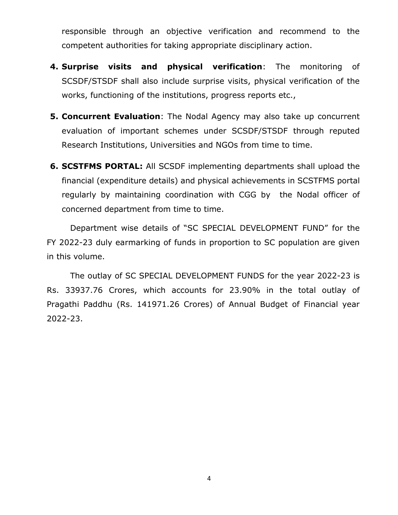responsible through an objective verification and recommend to the competent authorities for taking appropriate disciplinary action.

- **4. Surprise visits and physical verification**: The monitoring of SCSDF/STSDF shall also include surprise visits, physical verification of the works, functioning of the institutions, progress reports etc.,
- **5. Concurrent Evaluation**: The Nodal Agency may also take up concurrent evaluation of important schemes under SCSDF/STSDF through reputed Research Institutions, Universities and NGOs from time to time.
- **6. SCSTFMS PORTAL:** All SCSDF implementing departments shall upload the financial (expenditure details) and physical achievements in SCSTFMS portal regularly by maintaining coordination with CGG by the Nodal officer of concerned department from time to time.

Department wise details of "SC SPECIAL DEVELOPMENT FUND" for the FY 2022-23 duly earmarking of funds in proportion to SC population are given in this volume.

 The outlay of SC SPECIAL DEVELOPMENT FUNDS for the year 2022-23 is Rs. 33937.76 Crores, which accounts for 23.90% in the total outlay of Pragathi Paddhu (Rs. 141971.26 Crores) of Annual Budget of Financial year 2022-23.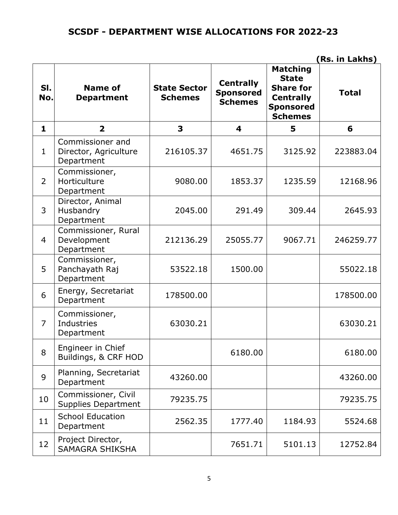#### **SCSDF - DEPARTMENT WISE ALLOCATIONS FOR 2022-23**

| SI.<br>No.     | <b>Name of</b><br><b>Department</b>                     | <b>State Sector</b><br><b>Schemes</b> | <b>Centrally</b><br><b>Sponsored</b><br><b>Schemes</b> | <b>Matching</b><br><b>State</b><br><b>Share for</b><br><b>Centrally</b><br><b>Sponsored</b><br><b>Schemes</b> | <b>Total</b> |
|----------------|---------------------------------------------------------|---------------------------------------|--------------------------------------------------------|---------------------------------------------------------------------------------------------------------------|--------------|
| 1              | $\overline{2}$                                          | 3                                     | 4                                                      | 5                                                                                                             | 6            |
| $\mathbf{1}$   | Commissioner and<br>Director, Agriculture<br>Department | 216105.37                             | 4651.75                                                | 3125.92                                                                                                       | 223883.04    |
| $\overline{2}$ | Commissioner,<br>Horticulture<br>Department             | 9080.00                               | 1853.37                                                | 1235.59                                                                                                       | 12168.96     |
| $\overline{3}$ | Director, Animal<br>Husbandry<br>Department             | 2045.00                               | 291.49                                                 | 309.44                                                                                                        | 2645.93      |
| $\overline{4}$ | Commissioner, Rural<br>Development<br>Department        | 212136.29                             | 25055.77                                               | 9067.71                                                                                                       | 246259.77    |
| 5              | Commissioner,<br>Panchayath Raj<br>Department           | 53522.18                              | 1500.00                                                |                                                                                                               | 55022.18     |
| 6              | Energy, Secretariat<br>Department                       | 178500.00                             |                                                        |                                                                                                               | 178500.00    |
| $\overline{7}$ | Commissioner,<br>Industries<br>Department               | 63030.21                              |                                                        |                                                                                                               | 63030.21     |
| 8              | Engineer in Chief<br>Buildings, & CRF HOD               |                                       | 6180.00                                                |                                                                                                               | 6180.00      |
| 9              | Planning, Secretariat<br>Department                     | 43260.00                              |                                                        |                                                                                                               | 43260.00     |
| 10             | Commissioner, Civil<br><b>Supplies Department</b>       | 79235.75                              |                                                        |                                                                                                               | 79235.75     |
| 11             | <b>School Education</b><br>Department                   | 2562.35                               | 1777.40                                                | 1184.93                                                                                                       | 5524.68      |
| 12             | Project Director,<br>SAMAGRA SHIKSHA                    |                                       | 7651.71                                                | 5101.13                                                                                                       | 12752.84     |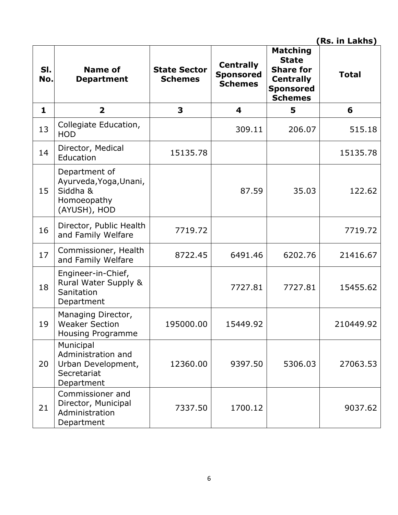| SI.<br>No.   | Name of<br><b>Department</b>                                                       | <b>State Sector</b><br><b>Schemes</b> | <b>Centrally</b><br><b>Sponsored</b><br><b>Schemes</b> | <b>Matching</b><br><b>State</b><br><b>Share for</b><br><b>Centrally</b><br><b>Sponsored</b><br><b>Schemes</b> | <b>Total</b> |
|--------------|------------------------------------------------------------------------------------|---------------------------------------|--------------------------------------------------------|---------------------------------------------------------------------------------------------------------------|--------------|
| $\mathbf{1}$ | $\overline{2}$                                                                     | 3                                     | 4                                                      | 5                                                                                                             | 6            |
| 13           | Collegiate Education,<br><b>HOD</b>                                                |                                       | 309.11                                                 | 206.07                                                                                                        | 515.18       |
| 14           | Director, Medical<br>Education                                                     | 15135.78                              |                                                        |                                                                                                               | 15135.78     |
| 15           | Department of<br>Ayurveda, Yoga, Unani,<br>Siddha &<br>Homoeopathy<br>(AYUSH), HOD |                                       | 87.59                                                  | 35.03                                                                                                         | 122.62       |
| 16           | Director, Public Health<br>and Family Welfare                                      | 7719.72                               |                                                        |                                                                                                               | 7719.72      |
| 17           | Commissioner, Health<br>and Family Welfare                                         | 8722.45                               | 6491.46                                                | 6202.76                                                                                                       | 21416.67     |
| 18           | Engineer-in-Chief,<br>Rural Water Supply &<br>Sanitation<br>Department             |                                       | 7727.81                                                | 7727.81                                                                                                       | 15455.62     |
| 19           | Managing Director,<br><b>Weaker Section</b><br>Housing Programme                   | 195000.00                             | 15449.92                                               |                                                                                                               | 210449.92    |
| 20           | Municipal<br>Administration and<br>Urban Development,<br>Secretariat<br>Department | 12360.00                              | 9397.50                                                | 5306.03                                                                                                       | 27063.53     |
| 21           | Commissioner and<br>Director, Municipal<br>Administration<br>Department            | 7337.50                               | 1700.12                                                |                                                                                                               | 9037.62      |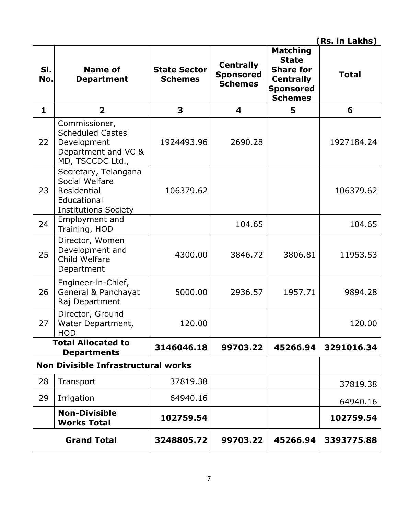| SI.<br>No.   | Name of<br><b>Department</b>                                                                        | <b>State Sector</b><br><b>Schemes</b> | <b>Centrally</b><br><b>Sponsored</b><br><b>Schemes</b> | <b>Matching</b><br><b>State</b><br><b>Share for</b><br><b>Centrally</b><br><b>Sponsored</b><br><b>Schemes</b> | <b>Total</b> |
|--------------|-----------------------------------------------------------------------------------------------------|---------------------------------------|--------------------------------------------------------|---------------------------------------------------------------------------------------------------------------|--------------|
| $\mathbf{1}$ | $\overline{\mathbf{2}}$                                                                             | 3                                     | 4                                                      | 5                                                                                                             | 6            |
| 22           | Commissioner,<br><b>Scheduled Castes</b><br>Development<br>Department and VC &<br>MD, TSCCDC Ltd.,  | 1924493.96                            | 2690.28                                                |                                                                                                               | 1927184.24   |
| 23           | Secretary, Telangana<br>Social Welfare<br>Residential<br>Educational<br><b>Institutions Society</b> | 106379.62                             |                                                        |                                                                                                               | 106379.62    |
| 24           | Employment and<br>Training, HOD                                                                     |                                       | 104.65                                                 |                                                                                                               | 104.65       |
| 25           | Director, Women<br>Development and<br>Child Welfare<br>Department                                   | 4300.00                               | 3846.72                                                | 3806.81                                                                                                       | 11953.53     |
| 26           | Engineer-in-Chief,<br>General & Panchayat<br>Raj Department                                         | 5000.00                               | 2936.57                                                | 1957.71                                                                                                       | 9894.28      |
| 27           | Director, Ground<br>Water Department,<br><b>HOD</b>                                                 | 120.00                                |                                                        |                                                                                                               | 120.00       |
|              | <b>Total Allocated to</b><br><b>Departments</b>                                                     | 3146046.18                            | 99703.22                                               | 45266.94                                                                                                      | 3291016.34   |
|              | <b>Non Divisible Infrastructural works</b>                                                          |                                       |                                                        |                                                                                                               |              |
| 28           | Transport                                                                                           | 37819.38                              |                                                        |                                                                                                               | 37819.38     |
| 29           | Irrigation                                                                                          | 64940.16                              |                                                        |                                                                                                               | 64940.16     |
|              | <b>Non-Divisible</b><br><b>Works Total</b>                                                          | 102759.54                             |                                                        |                                                                                                               | 102759.54    |
|              | <b>Grand Total</b>                                                                                  | 3248805.72                            | 99703.22                                               | 45266.94                                                                                                      | 3393775.88   |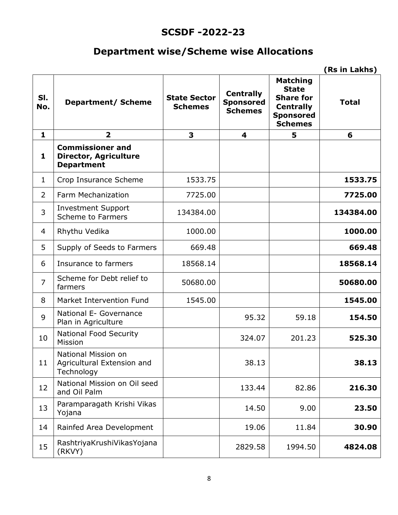#### **SCSDF -2022-23**

### **Department wise/Scheme wise Allocations**

|                |                                                                              |                                       |                                                        |                                                                                                               | (Rs in Lakhs) |
|----------------|------------------------------------------------------------------------------|---------------------------------------|--------------------------------------------------------|---------------------------------------------------------------------------------------------------------------|---------------|
| SI.<br>No.     | <b>Department/ Scheme</b>                                                    | <b>State Sector</b><br><b>Schemes</b> | <b>Centrally</b><br><b>Sponsored</b><br><b>Schemes</b> | <b>Matching</b><br><b>State</b><br><b>Share for</b><br><b>Centrally</b><br><b>Sponsored</b><br><b>Schemes</b> | <b>Total</b>  |
| $\mathbf{1}$   | $\overline{2}$                                                               | 3                                     | 4                                                      | 5                                                                                                             | 6             |
| $\mathbf{1}$   | <b>Commissioner and</b><br><b>Director, Agriculture</b><br><b>Department</b> |                                       |                                                        |                                                                                                               |               |
| $\mathbf{1}$   | Crop Insurance Scheme                                                        | 1533.75                               |                                                        |                                                                                                               | 1533.75       |
| 2              | Farm Mechanization                                                           | 7725.00                               |                                                        |                                                                                                               | 7725.00       |
| 3              | <b>Investment Support</b><br><b>Scheme to Farmers</b>                        | 134384.00                             |                                                        |                                                                                                               | 134384.00     |
| 4              | Rhythu Vedika                                                                | 1000.00                               |                                                        |                                                                                                               | 1000.00       |
| 5              | Supply of Seeds to Farmers                                                   | 669.48                                |                                                        |                                                                                                               | 669.48        |
| 6              | Insurance to farmers                                                         | 18568.14                              |                                                        |                                                                                                               | 18568.14      |
| $\overline{7}$ | Scheme for Debt relief to<br>farmers                                         | 50680.00                              |                                                        |                                                                                                               | 50680.00      |
| 8              | Market Intervention Fund                                                     | 1545.00                               |                                                        |                                                                                                               | 1545.00       |
| 9              | National E- Governance<br>Plan in Agriculture                                |                                       | 95.32                                                  | 59.18                                                                                                         | 154.50        |
| 10             | <b>National Food Security</b><br>Mission                                     |                                       | 324.07                                                 | 201.23                                                                                                        | 525.30        |
| 11             | National Mission on<br>Agricultural Extension and<br>Technology              |                                       | 38.13                                                  |                                                                                                               | 38.13         |
| 12             | National Mission on Oil seed<br>and Oil Palm                                 |                                       | 133.44                                                 | 82.86                                                                                                         | 216.30        |
| 13             | Paramparagath Krishi Vikas<br>Yojana                                         |                                       | 14.50                                                  | 9.00                                                                                                          | 23.50         |
| 14             | Rainfed Area Development                                                     |                                       | 19.06                                                  | 11.84                                                                                                         | 30.90         |
| 15             | RashtriyaKrushiVikasYojana<br>(RKVY)                                         |                                       | 2829.58                                                | 1994.50                                                                                                       | 4824.08       |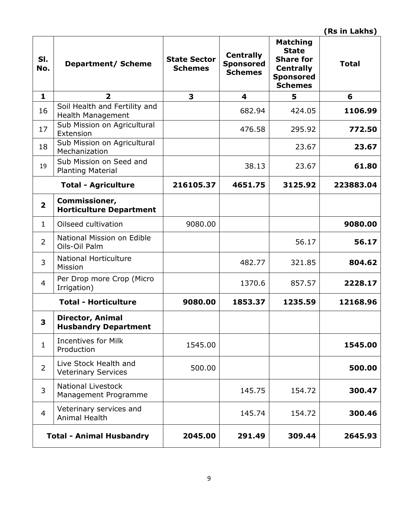| SI.<br>No.              | <b>Department/ Scheme</b>                              | <b>State Sector</b><br><b>Schemes</b> | <b>Centrally</b><br><b>Sponsored</b><br><b>Schemes</b> | <b>Matching</b><br><b>State</b><br><b>Share for</b><br><b>Centrally</b><br><b>Sponsored</b><br><b>Schemes</b> | <b>Total</b> |
|-------------------------|--------------------------------------------------------|---------------------------------------|--------------------------------------------------------|---------------------------------------------------------------------------------------------------------------|--------------|
| $\mathbf{1}$            | $\overline{2}$                                         | 3                                     | $\overline{\mathbf{4}}$                                | 5                                                                                                             | 6            |
| 16                      | Soil Health and Fertility and<br>Health Management     |                                       | 682.94                                                 | 424.05                                                                                                        | 1106.99      |
| 17                      | Sub Mission on Agricultural<br>Extension               |                                       | 476.58                                                 | 295.92                                                                                                        | 772.50       |
| 18                      | Sub Mission on Agricultural<br>Mechanization           |                                       |                                                        | 23.67                                                                                                         | 23.67        |
| 19                      | Sub Mission on Seed and<br><b>Planting Material</b>    |                                       | 38.13                                                  | 23.67                                                                                                         | 61.80        |
|                         | <b>Total - Agriculture</b>                             | 216105.37                             | 4651.75                                                | 3125.92                                                                                                       | 223883.04    |
| $\overline{\mathbf{2}}$ | Commissioner,<br><b>Horticulture Department</b>        |                                       |                                                        |                                                                                                               |              |
| $\mathbf{1}$            | Oilseed cultivation                                    | 9080.00                               |                                                        |                                                                                                               | 9080.00      |
| $\overline{2}$          | National Mission on Edible<br>Oils-Oil Palm            |                                       |                                                        | 56.17                                                                                                         | 56.17        |
| 3                       | <b>National Horticulture</b><br>Mission                |                                       | 482.77                                                 | 321.85                                                                                                        | 804.62       |
| $\overline{4}$          | Per Drop more Crop (Micro<br>Irrigation)               |                                       | 1370.6                                                 | 857.57                                                                                                        | 2228.17      |
|                         | <b>Total - Horticulture</b>                            | 9080.00                               | 1853.37                                                | 1235.59                                                                                                       | 12168.96     |
| 3                       | <b>Director, Animal</b><br><b>Husbandry Department</b> |                                       |                                                        |                                                                                                               |              |
| $\mathbf{1}$            | <b>Incentives for Milk</b><br>Production               | 1545.00                               |                                                        |                                                                                                               | 1545.00      |
| $\overline{2}$          | Live Stock Health and<br><b>Veterinary Services</b>    | 500.00                                |                                                        |                                                                                                               | 500.00       |
| 3                       | <b>National Livestock</b><br>Management Programme      |                                       | 145.75                                                 | 154.72                                                                                                        | 300.47       |
| $\overline{4}$          | Veterinary services and<br>Animal Health               |                                       | 145.74                                                 | 154.72                                                                                                        | 300.46       |
|                         | <b>Total - Animal Husbandry</b>                        | 2045.00                               | 291.49                                                 | 309.44                                                                                                        | 2645.93      |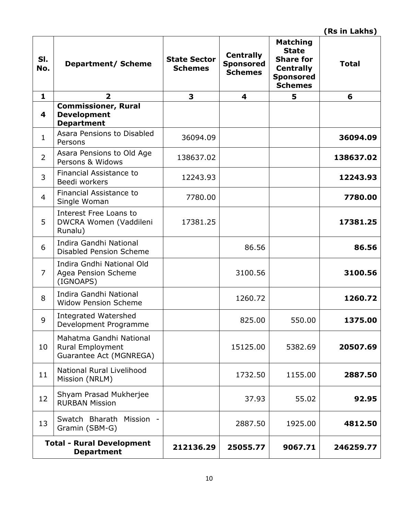| SI.<br>No.     | <b>Department/ Scheme</b>                                                     | <b>State Sector</b><br><b>Schemes</b> | <b>Centrally</b><br><b>Sponsored</b><br><b>Schemes</b> | <b>Matching</b><br><b>State</b><br><b>Share for</b><br><b>Centrally</b><br><b>Sponsored</b><br><b>Schemes</b> | <b>Total</b> |
|----------------|-------------------------------------------------------------------------------|---------------------------------------|--------------------------------------------------------|---------------------------------------------------------------------------------------------------------------|--------------|
| $\mathbf{1}$   | $\overline{2}$                                                                | 3                                     | 4                                                      | 5                                                                                                             | 6            |
| 4              | <b>Commissioner, Rural</b><br><b>Development</b><br><b>Department</b>         |                                       |                                                        |                                                                                                               |              |
| $\mathbf{1}$   | Asara Pensions to Disabled<br>Persons                                         | 36094.09                              |                                                        |                                                                                                               | 36094.09     |
| $\overline{2}$ | Asara Pensions to Old Age<br>Persons & Widows                                 | 138637.02                             |                                                        |                                                                                                               | 138637.02    |
| 3              | Financial Assistance to<br>Beedi workers                                      | 12243.93                              |                                                        |                                                                                                               | 12243.93     |
| $\overline{4}$ | Financial Assistance to<br>Single Woman                                       | 7780.00                               |                                                        |                                                                                                               | 7780.00      |
| 5              | Interest Free Loans to<br>DWCRA Women (Vaddileni<br>Runalu)                   | 17381.25                              |                                                        |                                                                                                               | 17381.25     |
| 6              | Indira Gandhi National<br><b>Disabled Pension Scheme</b>                      |                                       | 86.56                                                  |                                                                                                               | 86.56        |
| $\overline{7}$ | Indira Gndhi National Old<br>Agea Pension Scheme<br>(IGNOAPS)                 |                                       | 3100.56                                                |                                                                                                               | 3100.56      |
| 8              | Indira Gandhi National<br><b>Widow Pension Scheme</b>                         |                                       | 1260.72                                                |                                                                                                               | 1260.72      |
| 9              | Integrated Watershed<br>Development Programme                                 |                                       | 825.00                                                 | 550.00                                                                                                        | 1375.00      |
| 10             | Mahatma Gandhi National<br><b>Rural Employment</b><br>Guarantee Act (MGNREGA) |                                       | 15125.00                                               | 5382.69                                                                                                       | 20507.69     |
| 11             | National Rural Livelihood<br>Mission (NRLM)                                   |                                       | 1732.50                                                | 1155.00                                                                                                       | 2887.50      |
| 12             | Shyam Prasad Mukherjee<br><b>RURBAN Mission</b>                               |                                       | 37.93                                                  | 55.02                                                                                                         | 92.95        |
| 13             | Swatch Bharath Mission<br>Gramin (SBM-G)                                      |                                       | 2887.50                                                | 1925.00                                                                                                       | 4812.50      |
|                | <b>Total - Rural Development</b><br><b>Department</b>                         | 212136.29                             | 25055.77                                               | 9067.71                                                                                                       | 246259.77    |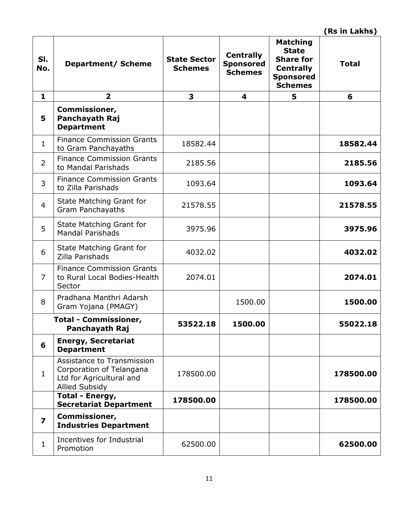| SI.<br>No.              | <b>Department/ Scheme</b>                                                                            | <b>State Sector</b><br><b>Schemes</b> | <b>Centrally</b><br><b>Sponsored</b><br><b>Schemes</b> | <b>Matching</b><br><b>State</b><br><b>Share for</b><br><b>Centrally</b><br><b>Sponsored</b><br><b>Schemes</b> | <b>Total</b> |
|-------------------------|------------------------------------------------------------------------------------------------------|---------------------------------------|--------------------------------------------------------|---------------------------------------------------------------------------------------------------------------|--------------|
| $\mathbf{1}$            | $\overline{\mathbf{2}}$                                                                              | 3                                     | 4                                                      | 5                                                                                                             | 6            |
| 5                       | Commissioner,<br>Panchayath Raj<br><b>Department</b>                                                 |                                       |                                                        |                                                                                                               |              |
| $\mathbf{1}$            | <b>Finance Commission Grants</b><br>to Gram Panchayaths                                              | 18582.44                              |                                                        |                                                                                                               | 18582.44     |
| $\overline{2}$          | <b>Finance Commission Grants</b><br>to Mandal Parishads                                              | 2185.56                               |                                                        |                                                                                                               | 2185.56      |
| 3                       | <b>Finance Commission Grants</b><br>to Zilla Parishads                                               | 1093.64                               |                                                        |                                                                                                               | 1093.64      |
| $\overline{4}$          | State Matching Grant for<br><b>Gram Panchayaths</b>                                                  | 21578.55                              |                                                        |                                                                                                               | 21578.55     |
| 5                       | State Matching Grant for<br><b>Mandal Parishads</b>                                                  | 3975.96                               |                                                        |                                                                                                               | 3975.96      |
| 6                       | State Matching Grant for<br>Zilla Parishads                                                          | 4032.02                               |                                                        |                                                                                                               | 4032.02      |
| $\overline{7}$          | <b>Finance Commission Grants</b><br>to Rural Local Bodies-Health<br>Sector                           | 2074.01                               |                                                        |                                                                                                               | 2074.01      |
| 8                       | Pradhana Manthri Adarsh<br>Gram Yojana (PMAGY)                                                       |                                       | 1500.00                                                |                                                                                                               | 1500.00      |
|                         | <b>Total - Commissioner,</b><br>Panchayath Raj                                                       | 53522.18                              | 1500.00                                                |                                                                                                               | 55022.18     |
| 6                       | <b>Energy, Secretariat</b><br><b>Department</b>                                                      |                                       |                                                        |                                                                                                               |              |
| $\mathbf{1}$            | Assistance to Transmission<br>Corporation of Telangana<br>Ltd for Agricultural and<br>Allied Subsidy | 178500.00                             |                                                        |                                                                                                               | 178500.00    |
|                         | Total - Energy,<br><b>Secretariat Department</b>                                                     | 178500.00                             |                                                        |                                                                                                               | 178500.00    |
| $\overline{\mathbf{z}}$ | Commissioner,<br><b>Industries Department</b>                                                        |                                       |                                                        |                                                                                                               |              |
| $\mathbf{1}$            | Incentives for Industrial<br>Promotion                                                               | 62500.00                              |                                                        |                                                                                                               | 62500.00     |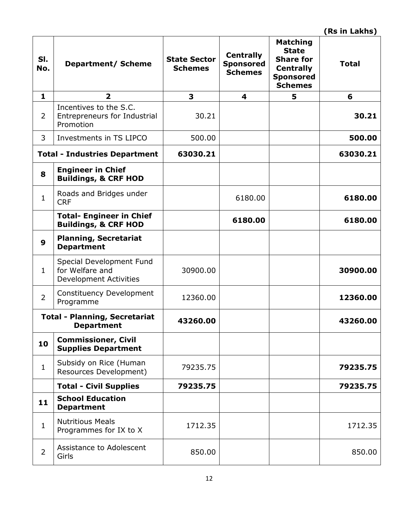| SI.<br>No.       | <b>Department/ Scheme</b>                                                    | <b>State Sector</b><br><b>Schemes</b> | <b>Centrally</b><br><b>Sponsored</b><br><b>Schemes</b> | <b>Matching</b><br><b>State</b><br><b>Share for</b><br><b>Centrally</b><br><b>Sponsored</b><br><b>Schemes</b> | <b>Total</b> |
|------------------|------------------------------------------------------------------------------|---------------------------------------|--------------------------------------------------------|---------------------------------------------------------------------------------------------------------------|--------------|
| $\mathbf{1}$     | $\overline{2}$                                                               | 3                                     | 4                                                      | 5                                                                                                             | 6            |
| $\overline{2}$   | Incentives to the S.C.<br>Entrepreneurs for Industrial<br>Promotion          | 30.21                                 |                                                        |                                                                                                               | 30.21        |
| 3                | Investments in TS LIPCO                                                      | 500.00                                |                                                        |                                                                                                               | 500.00       |
|                  | <b>Total - Industries Department</b>                                         | 63030.21                              |                                                        |                                                                                                               | 63030.21     |
| 8                | <b>Engineer in Chief</b><br><b>Buildings, &amp; CRF HOD</b>                  |                                       |                                                        |                                                                                                               |              |
| $\mathbf{1}$     | Roads and Bridges under<br><b>CRF</b>                                        |                                       | 6180.00                                                |                                                                                                               | 6180.00      |
|                  | <b>Total- Engineer in Chief</b><br><b>Buildings, &amp; CRF HOD</b>           |                                       | 6180.00                                                |                                                                                                               | 6180.00      |
| $\boldsymbol{9}$ | <b>Planning, Secretariat</b><br><b>Department</b>                            |                                       |                                                        |                                                                                                               |              |
| $\mathbf{1}$     | Special Development Fund<br>for Welfare and<br><b>Development Activities</b> | 30900.00                              |                                                        |                                                                                                               | 30900.00     |
| $\overline{2}$   | <b>Constituency Development</b><br>Programme                                 | 12360.00                              |                                                        |                                                                                                               | 12360.00     |
|                  | <b>Total - Planning, Secretariat</b><br><b>Department</b>                    | 43260.00                              |                                                        |                                                                                                               | 43260.00     |
| 10               | <b>Commissioner, Civil</b><br><b>Supplies Department</b>                     |                                       |                                                        |                                                                                                               |              |
| $\mathbf{1}$     | Subsidy on Rice (Human<br>Resources Development)                             | 79235.75                              |                                                        |                                                                                                               | 79235.75     |
|                  | <b>Total - Civil Supplies</b>                                                | 79235.75                              |                                                        |                                                                                                               | 79235.75     |
| 11               | <b>School Education</b><br><b>Department</b>                                 |                                       |                                                        |                                                                                                               |              |
| $\mathbf{1}$     | <b>Nutritious Meals</b><br>Programmes for IX to X                            | 1712.35                               |                                                        |                                                                                                               | 1712.35      |
| $\overline{2}$   | Assistance to Adolescent<br>Girls                                            | 850.00                                |                                                        |                                                                                                               | 850.00       |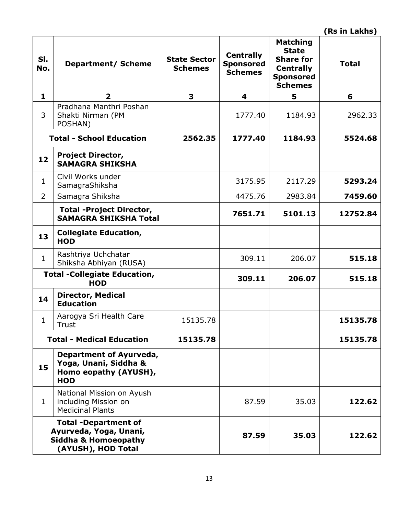| SI.<br>No.     | <b>Department/ Scheme</b>                                                                                      | <b>State Sector</b><br><b>Schemes</b> | <b>Centrally</b><br><b>Sponsored</b><br><b>Schemes</b> | <b>Matching</b><br><b>State</b><br><b>Share for</b><br><b>Centrally</b><br><b>Sponsored</b><br><b>Schemes</b> | <b>Total</b> |
|----------------|----------------------------------------------------------------------------------------------------------------|---------------------------------------|--------------------------------------------------------|---------------------------------------------------------------------------------------------------------------|--------------|
| $\mathbf{1}$   | $\overline{\mathbf{2}}$                                                                                        | 3                                     | 4                                                      | 5                                                                                                             | 6            |
| 3              | Pradhana Manthri Poshan<br>Shakti Nirman (PM<br>POSHAN)                                                        |                                       | 1777.40                                                | 1184.93                                                                                                       | 2962.33      |
|                | <b>Total - School Education</b>                                                                                | 2562.35                               | 1777.40                                                | 1184.93                                                                                                       | 5524.68      |
| 12             | <b>Project Director,</b><br><b>SAMAGRA SHIKSHA</b>                                                             |                                       |                                                        |                                                                                                               |              |
| $\mathbf{1}$   | Civil Works under<br>SamagraShiksha                                                                            |                                       | 3175.95                                                | 2117.29                                                                                                       | 5293.24      |
| $\overline{2}$ | Samagra Shiksha                                                                                                |                                       | 4475.76                                                | 2983.84                                                                                                       | 7459.60      |
|                | <b>Total -Project Director,</b><br><b>SAMAGRA SHIKSHA Total</b>                                                |                                       | 7651.71                                                | 5101.13                                                                                                       | 12752.84     |
| 13             | <b>Collegiate Education,</b><br><b>HOD</b>                                                                     |                                       |                                                        |                                                                                                               |              |
| $\mathbf{1}$   | Rashtriya Uchchatar<br>Shiksha Abhiyan (RUSA)                                                                  |                                       | 309.11                                                 | 206.07                                                                                                        | 515.18       |
|                | <b>Total -Collegiate Education,</b><br><b>HOD</b>                                                              |                                       | 309.11                                                 | 206.07                                                                                                        | 515.18       |
| 14             | <b>Director, Medical</b><br><b>Education</b>                                                                   |                                       |                                                        |                                                                                                               |              |
| $\mathbf{1}$   | Aarogya Sri Health Care<br><b>Trust</b>                                                                        | 15135.78                              |                                                        |                                                                                                               | 15135.78     |
|                | <b>Total - Medical Education</b>                                                                               | 15135.78                              |                                                        |                                                                                                               | 15135.78     |
| 15             | Department of Ayurveda,<br>Yoga, Unani, Siddha &<br>Homo eopathy (AYUSH),<br><b>HOD</b>                        |                                       |                                                        |                                                                                                               |              |
| $\mathbf{1}$   | National Mission on Ayush<br>including Mission on<br><b>Medicinal Plants</b>                                   |                                       | 87.59                                                  | 35.03                                                                                                         | 122.62       |
|                | <b>Total -Department of</b><br>Ayurveda, Yoga, Unani,<br><b>Siddha &amp; Homoeopathy</b><br>(AYUSH), HOD Total |                                       | 87.59                                                  | 35.03                                                                                                         | 122.62       |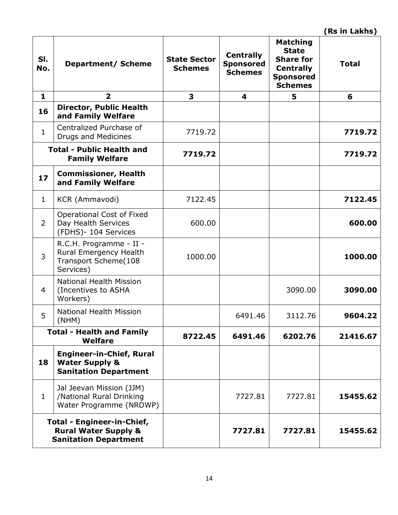| SI.<br>No.     | <b>Department/ Scheme</b>                                                                     | <b>State Sector</b><br><b>Schemes</b> | <b>Centrally</b><br><b>Sponsored</b><br><b>Schemes</b> | <b>Matching</b><br><b>State</b><br><b>Share for</b><br><b>Centrally</b><br><b>Sponsored</b><br><b>Schemes</b> | <b>Total</b> |
|----------------|-----------------------------------------------------------------------------------------------|---------------------------------------|--------------------------------------------------------|---------------------------------------------------------------------------------------------------------------|--------------|
| $\mathbf{1}$   | $\overline{\mathbf{2}}$                                                                       | 3                                     | 4                                                      | 5                                                                                                             | 6            |
| 16             | <b>Director, Public Health</b><br>and Family Welfare                                          |                                       |                                                        |                                                                                                               |              |
| $\mathbf{1}$   | Centralized Purchase of<br><b>Drugs and Medicines</b>                                         | 7719.72                               |                                                        |                                                                                                               | 7719.72      |
|                | <b>Total - Public Health and</b><br><b>Family Welfare</b>                                     | 7719.72                               |                                                        |                                                                                                               | 7719.72      |
| 17             | <b>Commissioner, Health</b><br>and Family Welfare                                             |                                       |                                                        |                                                                                                               |              |
| $\mathbf{1}$   | KCR (Ammavodi)                                                                                | 7122.45                               |                                                        |                                                                                                               | 7122.45      |
| $\overline{2}$ | <b>Operational Cost of Fixed</b><br>Day Health Services<br>(FDHS)- 104 Services               | 600.00                                |                                                        |                                                                                                               | 600.00       |
| 3              | R.C.H. Programme - II -<br>Rural Emergency Health<br>Transport Scheme(108<br>Services)        | 1000.00                               |                                                        |                                                                                                               | 1000.00      |
| 4              | <b>National Health Mission</b><br>(Incentives to ASHA<br>Workers)                             |                                       |                                                        | 3090.00                                                                                                       | 3090.00      |
| 5              | <b>National Health Mission</b><br>(NHM)                                                       |                                       | 6491.46                                                | 3112.76                                                                                                       | 9604.22      |
|                | <b>Total - Health and Family</b><br>Welfare                                                   | 8722.45                               | 6491.46                                                | 6202.76                                                                                                       | 21416.67     |
| 18             | <b>Engineer-in-Chief, Rural</b><br><b>Water Supply &amp;</b><br><b>Sanitation Department</b>  |                                       |                                                        |                                                                                                               |              |
| $\mathbf{1}$   | Jal Jeevan Mission (JJM)<br>/National Rural Drinking<br>Water Programme (NRDWP)               |                                       | 7727.81                                                | 7727.81                                                                                                       | 15455.62     |
|                | Total - Engineer-in-Chief,<br><b>Rural Water Supply &amp;</b><br><b>Sanitation Department</b> |                                       | 7727.81                                                | 7727.81                                                                                                       | 15455.62     |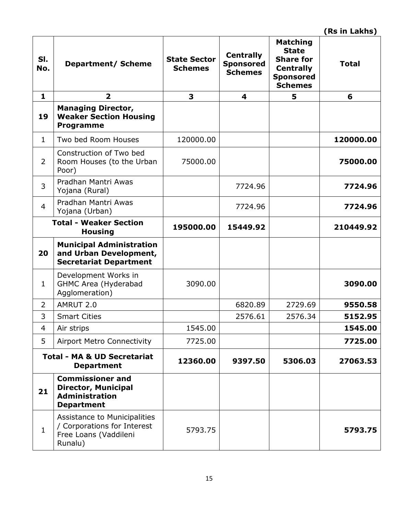| SI.<br>No.     | <b>Department/ Scheme</b>                                                                           | <b>State Sector</b><br><b>Schemes</b> | <b>Centrally</b><br><b>Sponsored</b><br><b>Schemes</b> | <b>Matching</b><br><b>State</b><br><b>Share for</b><br><b>Centrally</b><br><b>Sponsored</b><br><b>Schemes</b> | <b>Total</b> |
|----------------|-----------------------------------------------------------------------------------------------------|---------------------------------------|--------------------------------------------------------|---------------------------------------------------------------------------------------------------------------|--------------|
| $\mathbf{1}$   | 2                                                                                                   | 3                                     | 4                                                      | 5                                                                                                             | 6            |
| 19             | <b>Managing Director,</b><br><b>Weaker Section Housing</b><br>Programme                             |                                       |                                                        |                                                                                                               |              |
| $\mathbf{1}$   | Two bed Room Houses                                                                                 | 120000.00                             |                                                        |                                                                                                               | 120000.00    |
| $\overline{2}$ | Construction of Two bed<br>Room Houses (to the Urban<br>Poor)                                       | 75000.00                              |                                                        |                                                                                                               | 75000.00     |
| 3              | Pradhan Mantri Awas<br>Yojana (Rural)                                                               |                                       | 7724.96                                                |                                                                                                               | 7724.96      |
| $\overline{4}$ | Pradhan Mantri Awas<br>Yojana (Urban)                                                               |                                       | 7724.96                                                |                                                                                                               | 7724.96      |
|                | <b>Total - Weaker Section</b><br><b>Housing</b>                                                     | 195000.00                             | 15449.92                                               |                                                                                                               | 210449.92    |
| 20             | <b>Municipal Administration</b><br>and Urban Development,<br><b>Secretariat Department</b>          |                                       |                                                        |                                                                                                               |              |
| $\mathbf{1}$   | Development Works in<br>GHMC Area (Hyderabad<br>Agglomeration)                                      | 3090.00                               |                                                        |                                                                                                               | 3090.00      |
| $\overline{2}$ | AMRUT 2.0                                                                                           |                                       | 6820.89                                                | 2729.69                                                                                                       | 9550.58      |
| 3              | <b>Smart Cities</b>                                                                                 |                                       | 2576.61                                                | 2576.34                                                                                                       | 5152.95      |
| $\overline{4}$ | Air strips                                                                                          | 1545.00                               |                                                        |                                                                                                               | 1545.00      |
| 5              | <b>Airport Metro Connectivity</b>                                                                   | 7725.00                               |                                                        |                                                                                                               | 7725.00      |
|                | <b>Total - MA &amp; UD Secretariat</b><br><b>Department</b>                                         | 12360.00                              | 9397.50                                                | 5306.03                                                                                                       | 27063.53     |
| 21             | <b>Commissioner and</b><br><b>Director, Municipal</b><br><b>Administration</b><br><b>Department</b> |                                       |                                                        |                                                                                                               |              |
| $\mathbf{1}$   | Assistance to Municipalities<br>/ Corporations for Interest<br>Free Loans (Vaddileni<br>Runalu)     | 5793.75                               |                                                        |                                                                                                               | 5793.75      |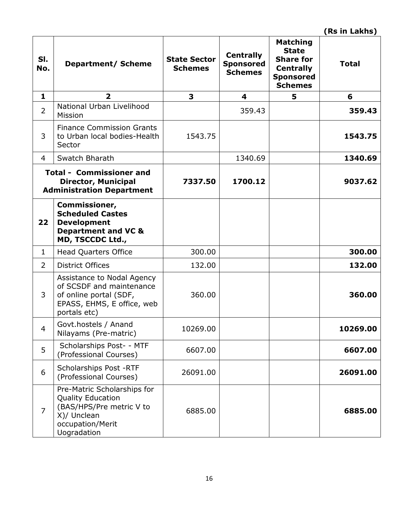| SI.<br>No.     | <b>Department/ Scheme</b>                                                                                                             | <b>State Sector</b><br><b>Schemes</b> | <b>Centrally</b><br><b>Sponsored</b><br><b>Schemes</b> | <b>Matching</b><br><b>State</b><br><b>Share for</b><br><b>Centrally</b><br><b>Sponsored</b><br><b>Schemes</b> | <b>Total</b> |
|----------------|---------------------------------------------------------------------------------------------------------------------------------------|---------------------------------------|--------------------------------------------------------|---------------------------------------------------------------------------------------------------------------|--------------|
| $\mathbf{1}$   | $\overline{2}$                                                                                                                        | 3                                     | 4                                                      | 5                                                                                                             | 6            |
| $\overline{2}$ | National Urban Livelihood<br>Mission                                                                                                  |                                       | 359.43                                                 |                                                                                                               | 359.43       |
| 3              | <b>Finance Commission Grants</b><br>to Urban local bodies-Health<br>Sector                                                            | 1543.75                               |                                                        |                                                                                                               | 1543.75      |
| $\overline{4}$ | Swatch Bharath                                                                                                                        |                                       | 1340.69                                                |                                                                                                               | 1340.69      |
|                | <b>Total - Commissioner and</b><br><b>Director, Municipal</b><br><b>Administration Department</b>                                     | 7337.50                               | 1700.12                                                |                                                                                                               | 9037.62      |
| 22             | Commissioner,<br><b>Scheduled Castes</b><br><b>Development</b><br><b>Department and VC &amp;</b><br>MD, TSCCDC Ltd.,                  |                                       |                                                        |                                                                                                               |              |
| $\mathbf{1}$   | <b>Head Quarters Office</b>                                                                                                           | 300.00                                |                                                        |                                                                                                               | 300.00       |
| $\overline{2}$ | <b>District Offices</b>                                                                                                               | 132.00                                |                                                        |                                                                                                               | 132.00       |
| 3              | Assistance to Nodal Agency<br>of SCSDF and maintenance<br>of online portal (SDF,<br>EPASS, EHMS, E office, web<br>portals etc)        | 360.00                                |                                                        |                                                                                                               | 360.00       |
| $\overline{4}$ | Govt.hostels / Anand<br>Nilayams (Pre-matric)                                                                                         | 10269.00                              |                                                        |                                                                                                               | 10269.00     |
| 5              | Scholarships Post- - MTF<br>(Professional Courses)                                                                                    | 6607.00                               |                                                        |                                                                                                               | 6607.00      |
| 6              | Scholarships Post -RTF<br>(Professional Courses)                                                                                      | 26091.00                              |                                                        |                                                                                                               | 26091.00     |
| $\overline{7}$ | Pre-Matric Scholarships for<br><b>Quality Education</b><br>(BAS/HPS/Pre metric V to<br>X)/ Unclean<br>occupation/Merit<br>Uogradation | 6885.00                               |                                                        |                                                                                                               | 6885.00      |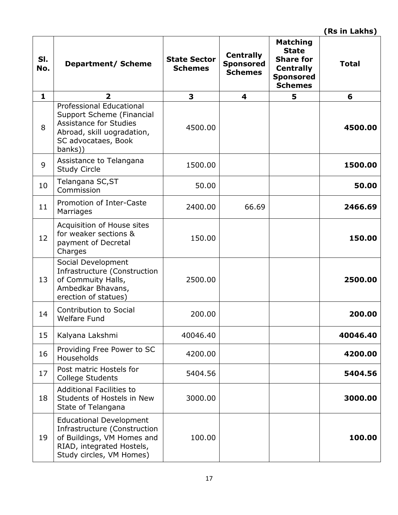| SI.<br>No. | Department/ Scheme                                                                                                                                            | <b>State Sector</b><br><b>Schemes</b> | <b>Centrally</b><br><b>Sponsored</b><br><b>Schemes</b> | <b>Matching</b><br><b>State</b><br><b>Share for</b><br><b>Centrally</b><br><b>Sponsored</b><br><b>Schemes</b> | <b>Total</b> |
|------------|---------------------------------------------------------------------------------------------------------------------------------------------------------------|---------------------------------------|--------------------------------------------------------|---------------------------------------------------------------------------------------------------------------|--------------|
| 1          | $\overline{\mathbf{2}}$                                                                                                                                       | 3                                     | 4                                                      | 5                                                                                                             | 6            |
| 8          | <b>Professional Educational</b><br>Support Scheme (Financial<br><b>Assistance for Studies</b><br>Abroad, skill uogradation,<br>SC advocataes, Book<br>banks)) | 4500.00                               |                                                        |                                                                                                               | 4500.00      |
| 9          | Assistance to Telangana<br><b>Study Circle</b>                                                                                                                | 1500.00                               |                                                        |                                                                                                               | 1500.00      |
| 10         | Telangana SC, ST<br>Commission                                                                                                                                | 50.00                                 |                                                        |                                                                                                               | 50.00        |
| 11         | Promotion of Inter-Caste<br>Marriages                                                                                                                         | 2400.00                               | 66.69                                                  |                                                                                                               | 2466.69      |
| 12         | Acquisition of House sites<br>for weaker sections &<br>payment of Decretal<br>Charges                                                                         | 150.00                                |                                                        |                                                                                                               | 150.00       |
| 13         | Social Development<br>Infrastructure (Construction<br>of Commuity Halls,<br>Ambedkar Bhavans,<br>erection of statues)                                         | 2500.00                               |                                                        |                                                                                                               | 2500.00      |
| 14         | <b>Contribution to Social</b><br><b>Welfare Fund</b>                                                                                                          | 200.00                                |                                                        |                                                                                                               | 200.00       |
| 15         | Kalyana Lakshmi                                                                                                                                               | 40046.40                              |                                                        |                                                                                                               | 40046.40     |
| 16         | Providing Free Power to SC<br>Households                                                                                                                      | 4200.00                               |                                                        |                                                                                                               | 4200.00      |
| 17         | Post matric Hostels for<br>College Students                                                                                                                   | 5404.56                               |                                                        |                                                                                                               | 5404.56      |
| 18         | <b>Additional Facilities to</b><br>Students of Hostels in New<br>State of Telangana                                                                           | 3000.00                               |                                                        |                                                                                                               | 3000.00      |
| 19         | <b>Educational Development</b><br>Infrastructure (Construction<br>of Buildings, VM Homes and<br>RIAD, integrated Hostels,<br>Study circles, VM Homes)         | 100.00                                |                                                        |                                                                                                               | 100.00       |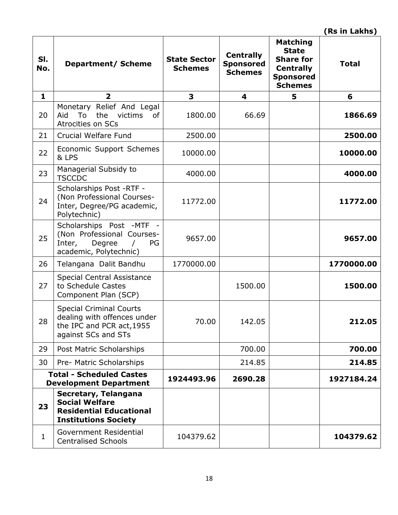| SI.<br>No.   | <b>Department/ Scheme</b>                                                                                                | <b>State Sector</b><br><b>Schemes</b> | <b>Centrally</b><br><b>Sponsored</b><br><b>Schemes</b> | <b>Matching</b><br><b>State</b><br><b>Share for</b><br><b>Centrally</b><br><b>Sponsored</b><br><b>Schemes</b> | <b>Total</b> |
|--------------|--------------------------------------------------------------------------------------------------------------------------|---------------------------------------|--------------------------------------------------------|---------------------------------------------------------------------------------------------------------------|--------------|
| $\mathbf{1}$ | $\overline{2}$                                                                                                           | 3                                     | 4                                                      | 5                                                                                                             | 6            |
| 20           | Monetary Relief And Legal<br>To<br>the<br>victims<br>Aid<br>0f<br><b>Atrocities on SCs</b>                               | 1800.00                               | 66.69                                                  |                                                                                                               | 1866.69      |
| 21           | Crucial Welfare Fund                                                                                                     | 2500.00                               |                                                        |                                                                                                               | 2500.00      |
| 22           | Economic Support Schemes<br>& LPS                                                                                        | 10000.00                              |                                                        |                                                                                                               | 10000.00     |
| 23           | Managerial Subsidy to<br><b>TSCCDC</b>                                                                                   | 4000.00                               |                                                        |                                                                                                               | 4000.00      |
| 24           | Scholarships Post -RTF -<br>(Non Professional Courses-<br>Inter, Degree/PG academic,<br>Polytechnic)                     | 11772.00                              |                                                        |                                                                                                               | 11772.00     |
| 25           | Scholarships Post -MTF -<br>(Non Professional Courses-<br>Inter,<br>Degree<br>PG<br>$\sqrt{ }$<br>academic, Polytechnic) | 9657.00                               |                                                        |                                                                                                               | 9657.00      |
| 26           | Telangana Dalit Bandhu                                                                                                   | 1770000.00                            |                                                        |                                                                                                               | 1770000.00   |
| 27           | <b>Special Central Assistance</b><br>to Schedule Castes<br>Component Plan (SCP)                                          |                                       | 1500.00                                                |                                                                                                               | 1500.00      |
| 28           | <b>Special Criminal Courts</b><br>dealing with offences under<br>the IPC and PCR act, 1955<br>against SCs and STs        | 70.00                                 | 142.05                                                 |                                                                                                               | 212.05       |
| 29           | Post Matric Scholarships                                                                                                 |                                       | 700.00                                                 |                                                                                                               | 700.00       |
| 30           | Pre- Matric Scholarships                                                                                                 |                                       | 214.85                                                 |                                                                                                               | 214.85       |
|              | <b>Total - Scheduled Castes</b><br><b>Development Department</b>                                                         | 1924493.96                            | 2690.28                                                |                                                                                                               | 1927184.24   |
| 23           | Secretary, Telangana<br><b>Social Welfare</b><br><b>Residential Educational</b><br><b>Institutions Society</b>           |                                       |                                                        |                                                                                                               |              |
| $\mathbf{1}$ | Government Residential<br><b>Centralised Schools</b>                                                                     | 104379.62                             |                                                        |                                                                                                               | 104379.62    |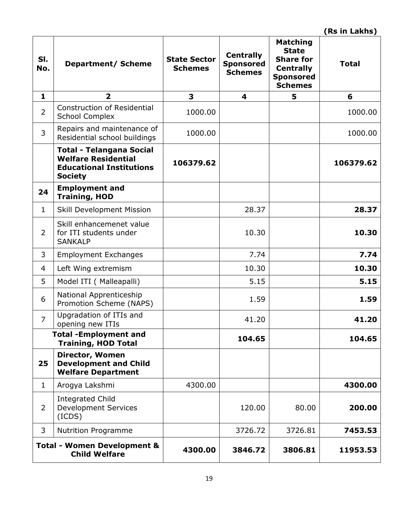| SI.<br>No.     | <b>Department/ Scheme</b>                                                                                          | <b>State Sector</b><br><b>Schemes</b> | <b>Centrally</b><br><b>Sponsored</b><br><b>Schemes</b> | <b>Matching</b><br><b>State</b><br><b>Share for</b><br><b>Centrally</b><br><b>Sponsored</b><br><b>Schemes</b> | <b>Total</b> |
|----------------|--------------------------------------------------------------------------------------------------------------------|---------------------------------------|--------------------------------------------------------|---------------------------------------------------------------------------------------------------------------|--------------|
| $\mathbf{1}$   | $\overline{2}$                                                                                                     | 3                                     | 4                                                      | 5                                                                                                             | 6            |
| $\overline{2}$ | <b>Construction of Residential</b><br><b>School Complex</b>                                                        | 1000.00                               |                                                        |                                                                                                               | 1000.00      |
| 3              | Repairs and maintenance of<br>Residential school buildings                                                         | 1000.00                               |                                                        |                                                                                                               | 1000.00      |
|                | <b>Total - Telangana Social</b><br><b>Welfare Residential</b><br><b>Educational Institutions</b><br><b>Society</b> | 106379.62                             |                                                        |                                                                                                               | 106379.62    |
| 24             | <b>Employment and</b><br><b>Training, HOD</b>                                                                      |                                       |                                                        |                                                                                                               |              |
| $\mathbf{1}$   | <b>Skill Development Mission</b>                                                                                   |                                       | 28.37                                                  |                                                                                                               | 28.37        |
| $\overline{2}$ | Skill enhancemenet value<br>for ITI students under<br><b>SANKALP</b>                                               |                                       | 10.30                                                  |                                                                                                               | 10.30        |
| 3              | <b>Employment Exchanges</b>                                                                                        |                                       | 7.74                                                   |                                                                                                               | 7.74         |
| 4              | Left Wing extremism                                                                                                |                                       | 10.30                                                  |                                                                                                               | 10.30        |
| 5              | Model ITI ( Malleapalli)                                                                                           |                                       | 5.15                                                   |                                                                                                               | 5.15         |
| 6              | National Apprenticeship<br>Promotion Scheme (NAPS)                                                                 |                                       | 1.59                                                   |                                                                                                               | 1.59         |
| $\overline{7}$ | Upgradation of ITIs and<br>opening new ITIs                                                                        |                                       | 41.20                                                  |                                                                                                               | 41.20        |
|                | <b>Total -Employment and</b><br><b>Training, HOD Total</b>                                                         |                                       | 104.65                                                 |                                                                                                               | 104.65       |
| 25             | Director, Women<br><b>Development and Child</b><br><b>Welfare Department</b>                                       |                                       |                                                        |                                                                                                               |              |
| $\mathbf{1}$   | Arogya Lakshmi                                                                                                     | 4300.00                               |                                                        |                                                                                                               | 4300.00      |
| $\overline{2}$ | <b>Integrated Child</b><br><b>Development Services</b><br>(ICDS)                                                   |                                       | 120.00                                                 | 80.00                                                                                                         | 200.00       |
| 3              | <b>Nutrition Programme</b>                                                                                         |                                       | 3726.72                                                | 3726.81                                                                                                       | 7453.53      |
|                | <b>Total - Women Development &amp;</b><br><b>Child Welfare</b>                                                     | 4300.00                               | 3846.72                                                | 3806.81                                                                                                       | 11953.53     |